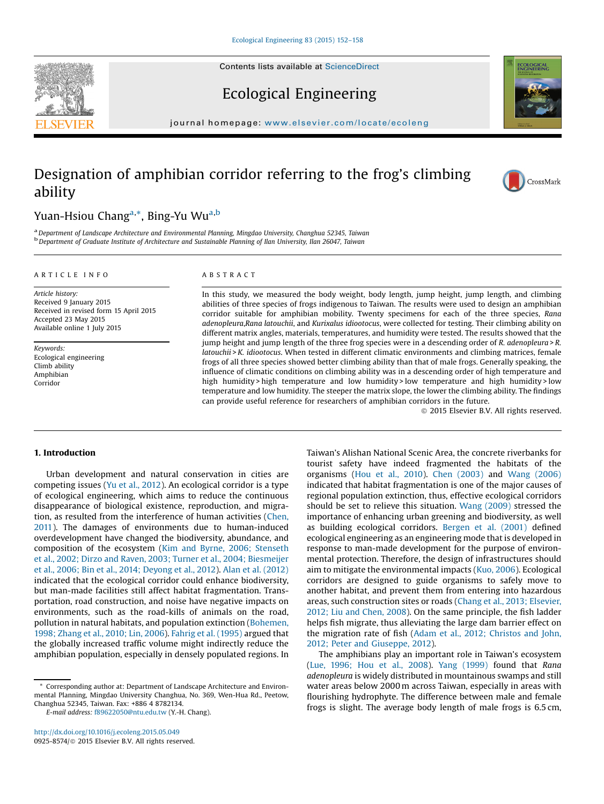



# Ecological Engineering

journal homepage: <www.elsevier.com/locate/ecoleng>ier.com/locate/ecolengier.com/locate/ecolengier.com/locate/eco

# Designation of amphibian corridor referring to the frog's climbing ability



# Yuan-Hsiou Chang<sup>a,</sup>\*, Bing-Yu Wu<sup>a,b</sup>

<sup>a</sup> Department of Landscape Architecture and Environmental Planning, Mingdao University, Changhua 52345, Taiwan<br><sup>b</sup> Department of Graduate Institute of Architecture and Sustainable Planning of Ilan University, Ilan 26047,

## A R T I C L E I N F O

Article history: Received 9 January 2015 Received in revised form 15 April 2015 Accepted 23 May 2015 Available online 1 July 2015

Keywords: Ecological engineering Climb ability Amphibian Corridor

## A B S T R A C T

In this study, we measured the body weight, body length, jump height, jump length, and climbing abilities of three species of frogs indigenous to Taiwan. The results were used to design an amphibian corridor suitable for amphibian mobility. Twenty specimens for each of the three species, Rana adenopleura,Rana latouchii, and Kurixalus idiootocus, were collected for testing. Their climbing ability on different matrix angles, materials, temperatures, and humidity were tested. The results showed that the jump height and jump length of the three frog species were in a descending order of R. adenopleura > R. latouchii > K. idiootocus. When tested in different climatic environments and climbing matrices, female frogs of all three species showed better climbing ability than that of male frogs. Generally speaking, the influence of climatic conditions on climbing ability was in a descending order of high temperature and high humidity > high temperature and low humidity > low temperature and high humidity > low temperature and low humidity. The steeper the matrix slope, the lower the climbing ability. The findings can provide useful reference for researchers of amphibian corridors in the future.

ã 2015 Elsevier B.V. All rights reserved.

# 1. Introduction

Urban development and natural conservation in cities are competing issues (Yu et al., [2012\)](#page--1-0). An ecological corridor is a type of ecological engineering, which aims to reduce the continuous disappearance of biological existence, reproduction, and migration, as resulted from the interference of human activities [\(Chen,](#page--1-0) [2011](#page--1-0)). The damages of environments due to human-induced overdevelopment have changed the biodiversity, abundance, and composition of the ecosystem (Kim and Byrne, 2006; [Stenseth](#page--1-0) et al., 2002; Dirzo and Raven, 2003; Turner et al., 2004; [Biesmeijer](#page--1-0) et al., 2006; Bin et al., 2014; [Deyong](#page--1-0) et al., 2012). Alan et al. [\(2012\)](#page--1-0) indicated that the ecological corridor could enhance biodiversity, but man-made facilities still affect habitat fragmentation. Transportation, road construction, and noise have negative impacts on environments, such as the road-kills of animals on the road, pollution in natural habitats, and population extinction ([Bohemen,](#page--1-0) 1998; [Zhang](#page--1-0) et al., 2010; Lin, 2006). Fahrig et al. [\(1995\)](#page--1-0) argued that the globally increased traffic volume might indirectly reduce the amphibian population, especially in densely populated regions. In Taiwan's Alishan National Scenic Area, the concrete riverbanks for tourist safety have indeed fragmented the habitats of the organisms (Hou et al., [2010](#page--1-0)). Chen [\(2003\)](#page--1-0) and Wang [\(2006\)](#page--1-0) indicated that habitat fragmentation is one of the major causes of regional population extinction, thus, effective ecological corridors should be set to relieve this situation. Wang [\(2009\)](#page--1-0) stressed the importance of enhancing urban greening and biodiversity, as well as building ecological corridors. [Bergen](#page--1-0) et al. (2001) defined ecological engineering as an engineering mode that is developed in response to man-made development for the purpose of environmental protection. Therefore, the design of infrastructures should aim to mitigate the environmental impacts (Kuo, [2006](#page--1-0)). Ecological corridors are designed to guide organisms to safely move to another habitat, and prevent them from entering into hazardous areas, such construction sites or roads (Chang et al., 2013; [Elsevier,](#page--1-0) 2012; Liu and [Chen,](#page--1-0) 2008). On the same principle, the fish ladder helps fish migrate, thus alleviating the large dam barrier effect on the migration rate of fish (Adam et al., 2012; [Christos](#page--1-0) and John, 2012; Peter and [Giuseppe,](#page--1-0) 2012).

The amphibians play an important role in Taiwan's ecosystem (Lue, [1996;](#page--1-0) Hou et al., 2008). Yang [\(1999\)](#page--1-0) found that Rana adenopleura is widely distributed in mountainous swamps and still water areas below 2000 m across Taiwan, especially in areas with flourishing hydrophyte. The difference between male and female frogs is slight. The average body length of male frogs is 6.5 cm,

<sup>\*</sup> Corresponding author at: Department of Landscape Architecture and Environmental Planning, Mingdao University Changhua, No. 369, Wen-Hua Rd., Peetow, Changhua 52345, Taiwan. Fax: +886 4 8782134.

E-mail address: [f89622050@ntu.edu.tw](mailto:f89622050@ntu.edu.tw) (Y.-H. Chang).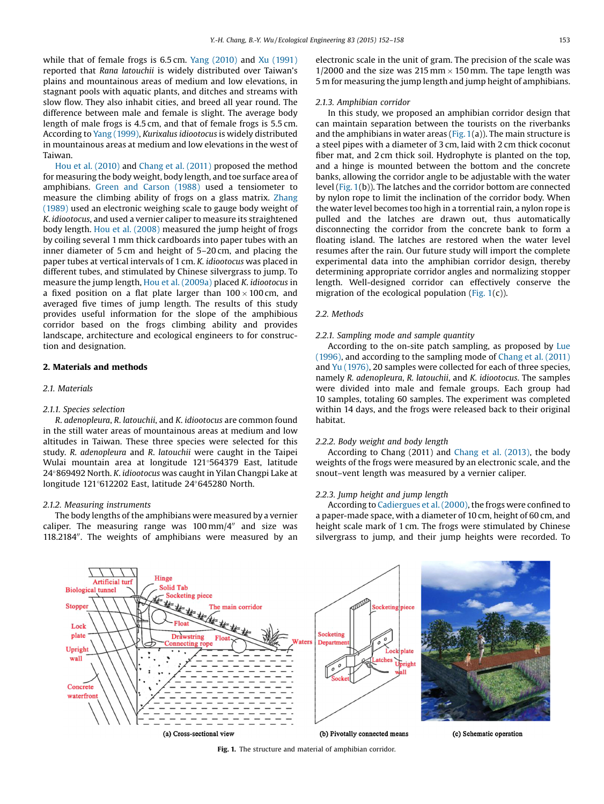while that of female frogs is 6.5 cm. Yang [\(2010\)](#page--1-0) and Xu [\(1991\)](#page--1-0) reported that Rana latouchii is widely distributed over Taiwan's plains and mountainous areas of medium and low elevations, in stagnant pools with aquatic plants, and ditches and streams with slow flow. They also inhabit cities, and breed all year round. The difference between male and female is slight. The average body length of male frogs is 4.5 cm, and that of female frogs is 5.5 cm. According to Yang [\(1999\)](#page--1-0), Kurixalus idiootocus is widely distributed in mountainous areas at medium and low elevations in the west of Taiwan.

Hou et al. [\(2010\)](#page--1-0) and [Chang](#page--1-0) et al. (2011) proposed the method for measuring the body weight, body length, and toe surface area of amphibians. Green and [Carson](#page--1-0) (1988) used a tensiometer to measure the climbing ability of frogs on a glass matrix. [Zhang](#page--1-0) [\(1989\)](#page--1-0) used an electronic weighing scale to gauge body weight of K. idiootocus, and used a vernier caliper to measure its straightened body length. Hou et al. [\(2008\)](#page--1-0) measured the jump height of frogs by coiling several 1 mm thick cardboards into paper tubes with an inner diameter of 5 cm and height of 5–20 cm, and placing the paper tubes at vertical intervals of 1 cm. K. idiootocus was placed in different tubes, and stimulated by Chinese silvergrass to jump. To measure the jump length, Hou et al. [\(2009a\)](#page--1-0) placed K. idiootocus in a fixed position on a flat plate larger than  $100 \times 100$  cm, and averaged five times of jump length. The results of this study provides useful information for the slope of the amphibious corridor based on the frogs climbing ability and provides landscape, architecture and ecological engineers to for construction and designation.

# 2. Materials and methods

# 2.1. Materials

#### 2.1.1. Species selection

R. adenopleura, R. latouchii, and K. idiootocus are common found in the still water areas of mountainous areas at medium and low altitudes in Taiwan. These three species were selected for this study. R. adenopleura and R. latouchii were caught in the Taipei Wulai mountain area at longitude 121 564379 East, latitude 24°869492 North. K. idiootocus was caught in Yilan Changpi Lake at longitude 121°612202 East, latitude 24°645280 North.

# 2.1.2. Measuring instruments

The body lengths of the amphibians were measured by a vernier caliper. The measuring range was  $100 \text{ mm}/4^{\prime\prime}$  and size was 118.2184". The weights of amphibians were measured by an electronic scale in the unit of gram. The precision of the scale was 1/2000 and the size was 215 mm  $\times$  150 mm. The tape length was 5 m for measuring the jump length and jump height of amphibians.

#### 2.1.3. Amphibian corridor

In this study, we proposed an amphibian corridor design that can maintain separation between the tourists on the riverbanks and the amphibians in water areas (Fig.  $1(a)$ ). The main structure is a steel pipes with a diameter of 3 cm, laid with 2 cm thick coconut fiber mat, and 2 cm thick soil. Hydrophyte is planted on the top, and a hinge is mounted between the bottom and the concrete banks, allowing the corridor angle to be adjustable with the water level (Fig. 1(b)). The latches and the corridor bottom are connected by nylon rope to limit the inclination of the corridor body. When the water level becomes too high in a torrential rain, a nylon rope is pulled and the latches are drawn out, thus automatically disconnecting the corridor from the concrete bank to form a floating island. The latches are restored when the water level resumes after the rain. Our future study will import the complete experimental data into the amphibian corridor design, thereby determining appropriate corridor angles and normalizing stopper length. Well-designed corridor can effectively conserve the migration of the ecological population (Fig.  $1(c)$ ).

## 2.2. Methods

#### 2.2.1. Sampling mode and sample quantity

According to the on-site patch sampling, as proposed by [Lue](#page--1-0) [\(1996\)](#page--1-0), and according to the sampling mode of Chang et al. [\(2011\)](#page--1-0) and Yu [\(1976\),](#page--1-0) 20 samples were collected for each of three species, namely R. adenopleura, R. latouchii, and K. idiootocus. The samples were divided into male and female groups. Each group had 10 samples, totaling 60 samples. The experiment was completed within 14 days, and the frogs were released back to their original habitat.

#### 2.2.2. Body weight and body length

According to Chang (2011) and Chang et al. [\(2013\)](#page--1-0), the body weights of the frogs were measured by an electronic scale, and the snout–vent length was measured by a vernier caliper.

# 2.2.3. Jump height and jump length

According to [Cadiergues](#page--1-0) et al. (2000), the frogs were confined to a paper-made space, with a diameter of 10 cm, height of 60 cm, and height scale mark of 1 cm. The frogs were stimulated by Chinese silvergrass to jump, and their jump heights were recorded. To



Fig. 1. The structure and material of amphibian corridor.